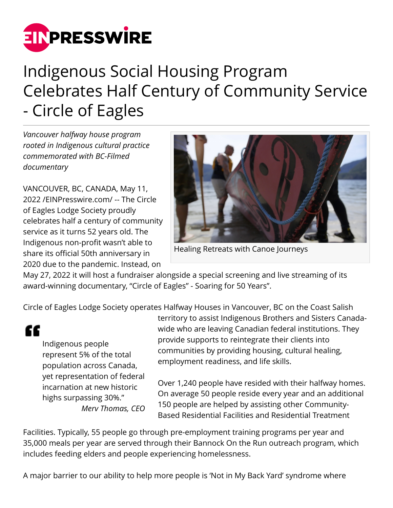

## Indigenous Social Housing Program Celebrates Half Century of Community Service - Circle of Eagles

*Vancouver halfway house program rooted in Indigenous cultural practice commemorated with BC-Filmed documentary*

VANCOUVER, BC, CANADA, May 11, 2022 /[EINPresswire.com](http://www.einpresswire.com)/ -- The Circle of Eagles Lodge Society proudly celebrates half a century of community service as it turns 52 years old. The Indigenous non-profit wasn't able to share its official 50th anniversary in 2020 due to the pandemic. Instead, on



Healing Retreats with Canoe Journeys

May 27, 2022 it will host a fundraiser alongside a special screening and live streaming of its award-winning documentary, "Circle of Eagles" - Soaring for 50 Years".

Circle of Eagles Lodge Society operates Halfway Houses in Vancouver, BC on the Coast Salish

"

Indigenous people represent 5% of the total population across Canada, yet representation of federal incarnation at new historic highs surpassing 30%." *Merv Thomas, CEO*

territory to assist Indigenous Brothers and Sisters Canadawide who are leaving Canadian federal institutions. They provide supports to reintegrate their clients into communities by providing housing, cultural healing, employment readiness, and life skills.

Over 1,240 people have resided with their halfway homes. On average 50 people reside every year and an additional 150 people are helped by assisting other Community-Based Residential Facilities and Residential Treatment

Facilities. Typically, 55 people go through pre-employment training programs per year and 35,000 meals per year are served through their Bannock On the Run outreach program, which includes feeding elders and people experiencing homelessness.

A major barrier to our ability to help more people is 'Not in My Back Yard' syndrome where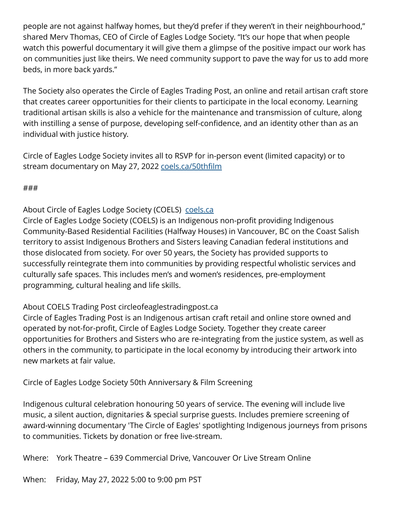people are not against halfway homes, but they'd prefer if they weren't in their neighbourhood," shared Merv Thomas, CEO of Circle of Eagles Lodge Society. "It's our hope that when people watch this powerful documentary it will give them a glimpse of the positive impact our work has on communities just like theirs. We need community support to pave the way for us to add more beds, in more back yards."

The Society also operates the Circle of Eagles Trading Post, an online and retail artisan craft store that creates career opportunities for their clients to participate in the local economy. Learning traditional artisan skills is also a vehicle for the maintenance and transmission of culture, along with instilling a sense of purpose, developing self-confidence, and an identity other than as an individual with justice history.

Circle of Eagles Lodge Society invites all to RSVP for in-person event (limited capacity) or to stream documentary on May 27, 2022 [coels.ca/50thfilm](https://coels.ca/50thfilm/)

## ###

About Circle of Eagles Lodge Society (COELS) [coels.ca](https://coels.ca)

Circle of Eagles Lodge Society (COELS) is an Indigenous non-profit providing Indigenous Community-Based Residential Facilities (Halfway Houses) in Vancouver, BC on the Coast Salish territory to assist Indigenous Brothers and Sisters leaving Canadian federal institutions and those dislocated from society. For over 50 years, the Society has provided supports to successfully reintegrate them into communities by providing respectful wholistic services and culturally safe spaces. This includes men's and women's residences, pre-employment programming, cultural healing and life skills.

## About COELS Trading Post circleofeaglestradingpost.ca

Circle of Eagles Trading Post is an Indigenous artisan craft retail and online store owned and operated by not-for-profit, Circle of Eagles Lodge Society. Together they create career opportunities for Brothers and Sisters who are re-integrating from the justice system, as well as others in the community, to participate in the local economy by introducing their artwork into new markets at fair value.

Circle of Eagles Lodge Society 50th Anniversary & Film Screening

Indigenous cultural celebration honouring 50 years of service. The evening will include live music, a silent auction, dignitaries & special surprise guests. Includes premiere screening of award-winning documentary 'The Circle of Eagles' spotlighting Indigenous journeys from prisons to communities. Tickets by donation or free live-stream.

Where: York Theatre – 639 Commercial Drive, Vancouver Or Live Stream Online

When: Friday, May 27, 2022 5:00 to 9:00 pm PST